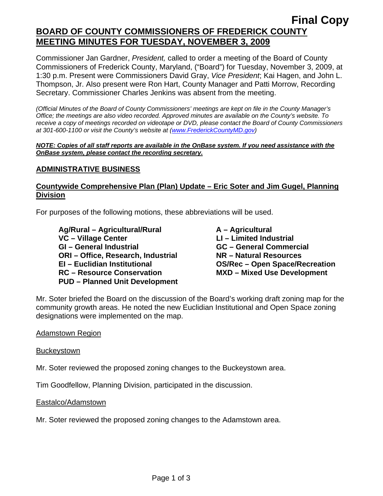# **Final Copy BOARD OF COUNTY COMMISSIONERS OF FREDERICK COUNTY MEETING MINUTES FOR TUESDAY, NOVEMBER 3, 2009**

Commissioner Jan Gardner, *President,* called to order a meeting of the Board of County Commissioners of Frederick County, Maryland, ("Board") for Tuesday, November 3, 2009, at 1:30 p.m. Present were Commissioners David Gray, *Vice President*; Kai Hagen, and John L. Thompson, Jr. Also present were Ron Hart, County Manager and Patti Morrow, Recording Secretary. Commissioner Charles Jenkins was absent from the meeting.

*(Official Minutes of the Board of County Commissioners' meetings are kept on file in the County Manager's Office; the meetings are also video recorded. Approved minutes are available on the County's website. To receive a copy of meetings recorded on videotape or DVD, please contact the Board of County Commissioners at 301-600-1100 or visit the County's website at ([www.FrederickCountyMD.gov](http://www.frederickcountymd.gov/))* 

#### *NOTE: Copies of all staff reports are available in the OnBase system. If you need assistance with the OnBase system, please contact the recording secretary.*

### **ADMINISTRATIVE BUSINESS**

## **Countywide Comprehensive Plan (Plan) Update – Eric Soter and Jim Gugel, Planning Division**

For purposes of the following motions, these abbreviations will be used.

Ag/Rural – Agricultural/Rural **A** – Agricultural VC – Village Center **LI – Limited Industrial GI – General Industrial GC – General Commercial ORI – Office, Research, Industrial NR – Natural Resources EI – Euclidian Institutional OS/Rec – Open Space/Recreation RC – Resource Conservation MXD – Mixed Use Development PUD – Planned Unit Development** 

Mr. Soter briefed the Board on the discussion of the Board's working draft zoning map for the community growth areas. He noted the new Euclidian Institutional and Open Space zoning designations were implemented on the map.

### Adamstown Region

#### **Buckeystown**

Mr. Soter reviewed the proposed zoning changes to the Buckeystown area.

Tim Goodfellow, Planning Division, participated in the discussion.

#### Eastalco/Adamstown

Mr. Soter reviewed the proposed zoning changes to the Adamstown area.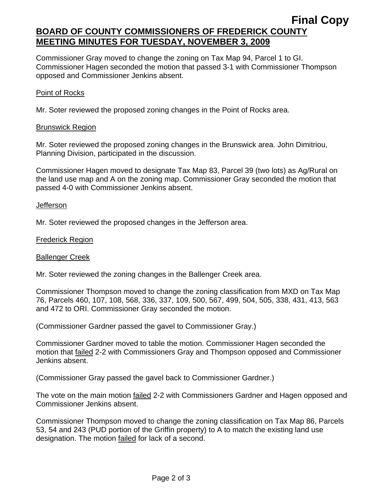## **Final Copy BOARD OF COUNTY COMMISSIONERS OF FREDERICK COUNTY MEETING MINUTES FOR TUESDAY, NOVEMBER 3, 2009**

Commissioner Gray moved to change the zoning on Tax Map 94, Parcel 1 to GI. Commissioner Hagen seconded the motion that passed 3-1 with Commissioner Thompson opposed and Commissioner Jenkins absent.

#### Point of Rocks

Mr. Soter reviewed the proposed zoning changes in the Point of Rocks area.

#### Brunswick Region

Mr. Soter reviewed the proposed zoning changes in the Brunswick area. John Dimitriou, Planning Division, participated in the discussion.

Commissioner Hagen moved to designate Tax Map 83, Parcel 39 (two lots) as Ag/Rural on the land use map and A on the zoning map. Commissioner Gray seconded the motion that passed 4-0 with Commissioner Jenkins absent.

#### Jefferson

Mr. Soter reviewed the proposed changes in the Jefferson area.

#### Frederick Region

#### Ballenger Creek

Mr. Soter reviewed the zoning changes in the Ballenger Creek area.

Commissioner Thompson moved to change the zoning classification from MXD on Tax Map 76, Parcels 460, 107, 108, 568, 336, 337, 109, 500, 567, 499, 504, 505, 338, 431, 413, 563 and 472 to ORI. Commissioner Gray seconded the motion.

(Commissioner Gardner passed the gavel to Commissioner Gray.)

Commissioner Gardner moved to table the motion. Commissioner Hagen seconded the motion that failed 2-2 with Commissioners Gray and Thompson opposed and Commissioner Jenkins absent.

(Commissioner Gray passed the gavel back to Commissioner Gardner.)

The vote on the main motion failed 2-2 with Commissioners Gardner and Hagen opposed and Commissioner Jenkins absent.

Commissioner Thompson moved to change the zoning classification on Tax Map 86, Parcels 53, 54 and 243 (PUD portion of the Griffin property) to A to match the existing land use designation. The motion failed for lack of a second.